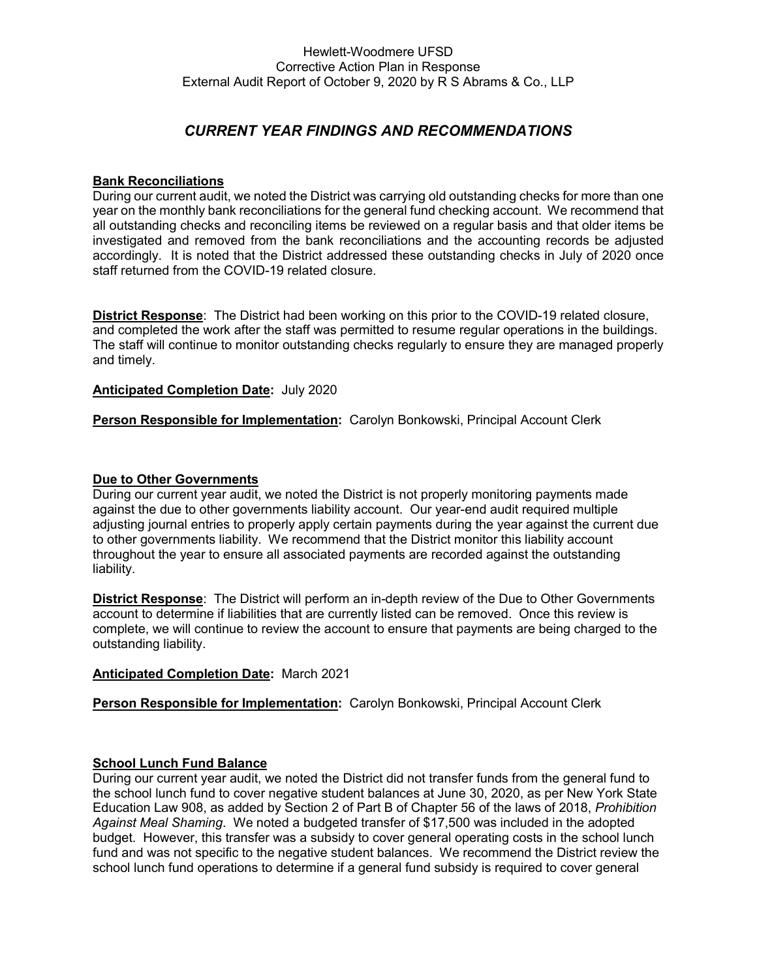# *CURRENT YEAR FINDINGS AND RECOMMENDATIONS*

### **Bank Reconciliations**

During our current audit, we noted the District was carrying old outstanding checks for more than one year on the monthly bank reconciliations for the general fund checking account. We recommend that all outstanding checks and reconciling items be reviewed on a regular basis and that older items be investigated and removed from the bank reconciliations and the accounting records be adjusted accordingly. It is noted that the District addressed these outstanding checks in July of 2020 once staff returned from the COVID-19 related closure.

**District Response**: The District had been working on this prior to the COVID-19 related closure, and completed the work after the staff was permitted to resume regular operations in the buildings. The staff will continue to monitor outstanding checks regularly to ensure they are managed properly and timely.

### **Anticipated Completion Date:** July 2020

**Person Responsible for Implementation:** Carolyn Bonkowski, Principal Account Clerk

### **Due to Other Governments**

During our current year audit, we noted the District is not properly monitoring payments made against the due to other governments liability account. Our year-end audit required multiple adjusting journal entries to properly apply certain payments during the year against the current due to other governments liability. We recommend that the District monitor this liability account throughout the year to ensure all associated payments are recorded against the outstanding liability.

**District Response**: The District will perform an in-depth review of the Due to Other Governments account to determine if liabilities that are currently listed can be removed. Once this review is complete, we will continue to review the account to ensure that payments are being charged to the outstanding liability.

#### **Anticipated Completion Date:** March 2021

**Person Responsible for Implementation:** Carolyn Bonkowski, Principal Account Clerk

#### **School Lunch Fund Balance**

During our current year audit, we noted the District did not transfer funds from the general fund to the school lunch fund to cover negative student balances at June 30, 2020, as per New York State Education Law 908, as added by Section 2 of Part B of Chapter 56 of the laws of 2018, *Prohibition Against Meal Shaming*. We noted a budgeted transfer of \$17,500 was included in the adopted budget. However, this transfer was a subsidy to cover general operating costs in the school lunch fund and was not specific to the negative student balances. We recommend the District review the school lunch fund operations to determine if a general fund subsidy is required to cover general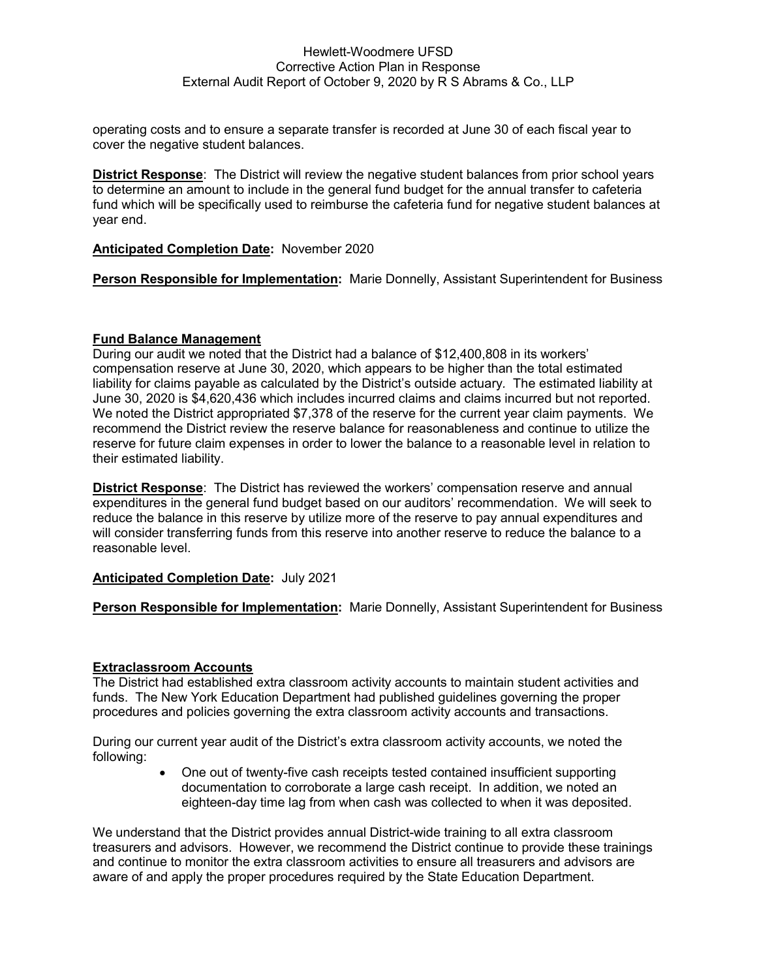### Hewlett-Woodmere UFSD Corrective Action Plan in Response External Audit Report of October 9, 2020 by R S Abrams & Co., LLP

operating costs and to ensure a separate transfer is recorded at June 30 of each fiscal year to cover the negative student balances.

**District Response**: The District will review the negative student balances from prior school years to determine an amount to include in the general fund budget for the annual transfer to cafeteria fund which will be specifically used to reimburse the cafeteria fund for negative student balances at year end.

### **Anticipated Completion Date:** November 2020

**Person Responsible for Implementation:** Marie Donnelly, Assistant Superintendent for Business

### **Fund Balance Management**

During our audit we noted that the District had a balance of \$12,400,808 in its workers' compensation reserve at June 30, 2020, which appears to be higher than the total estimated liability for claims payable as calculated by the District's outside actuary*.* The estimated liability at June 30, 2020 is \$4,620,436 which includes incurred claims and claims incurred but not reported. We noted the District appropriated \$7,378 of the reserve for the current year claim payments. We recommend the District review the reserve balance for reasonableness and continue to utilize the reserve for future claim expenses in order to lower the balance to a reasonable level in relation to their estimated liability.

**District Response**: The District has reviewed the workers' compensation reserve and annual expenditures in the general fund budget based on our auditors' recommendation. We will seek to reduce the balance in this reserve by utilize more of the reserve to pay annual expenditures and will consider transferring funds from this reserve into another reserve to reduce the balance to a reasonable level.

### **Anticipated Completion Date:** July 2021

**Person Responsible for Implementation:** Marie Donnelly, Assistant Superintendent for Business

### **Extraclassroom Accounts**

The District had established extra classroom activity accounts to maintain student activities and funds. The New York Education Department had published guidelines governing the proper procedures and policies governing the extra classroom activity accounts and transactions.

During our current year audit of the District's extra classroom activity accounts, we noted the following:

> • One out of twenty-five cash receipts tested contained insufficient supporting documentation to corroborate a large cash receipt. In addition, we noted an eighteen-day time lag from when cash was collected to when it was deposited.

We understand that the District provides annual District-wide training to all extra classroom treasurers and advisors. However, we recommend the District continue to provide these trainings and continue to monitor the extra classroom activities to ensure all treasurers and advisors are aware of and apply the proper procedures required by the State Education Department.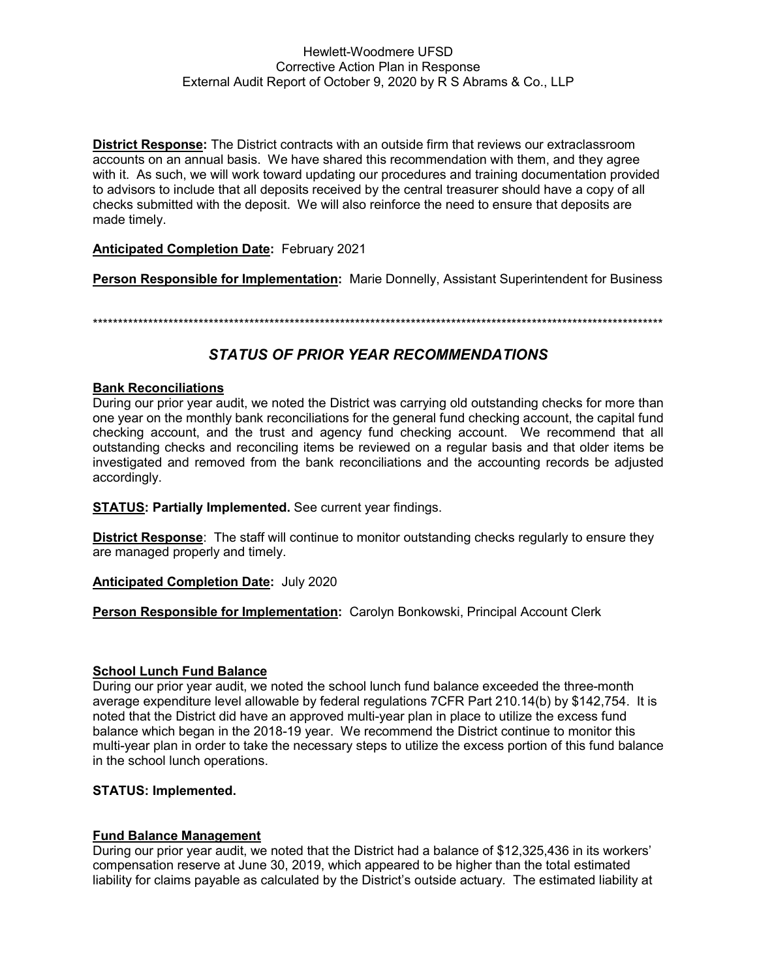### Hewlett-Woodmere UFSD **Corrective Action Plan in Response** External Audit Report of October 9, 2020 by R S Abrams & Co., LLP

**District Response:** The District contracts with an outside firm that reviews our extraclassroom accounts on an annual basis. We have shared this recommendation with them, and they agree with it. As such, we will work toward updating our procedures and training documentation provided to advisors to include that all deposits received by the central treasurer should have a copy of all checks submitted with the deposit. We will also reinforce the need to ensure that deposits are made timely.

## **Anticipated Completion Date: February 2021**

Person Responsible for Implementation: Marie Donnelly, Assistant Superintendent for Business

# **STATUS OF PRIOR YEAR RECOMMENDATIONS**

## **Bank Reconciliations**

During our prior year audit, we noted the District was carrying old outstanding checks for more than one year on the monthly bank reconciliations for the general fund checking account, the capital fund checking account, and the trust and agency fund checking account. We recommend that all outstanding checks and reconciling items be reviewed on a regular basis and that older items be investigated and removed from the bank reconciliations and the accounting records be adjusted accordingly.

**STATUS: Partially Implemented.** See current year findings.

**District Response:** The staff will continue to monitor outstanding checks regularly to ensure they are managed properly and timely.

**Anticipated Completion Date: July 2020** 

Person Responsible for Implementation: Carolyn Bonkowski, Principal Account Clerk

### **School Lunch Fund Balance**

During our prior year audit, we noted the school lunch fund balance exceeded the three-month average expenditure level allowable by federal regulations 7CFR Part 210.14(b) by \$142.754. It is noted that the District did have an approved multi-year plan in place to utilize the excess fund balance which began in the 2018-19 year. We recommend the District continue to monitor this multi-year plan in order to take the necessary steps to utilize the excess portion of this fund balance in the school lunch operations.

# **STATUS: Implemented.**

# **Fund Balance Management**

During our prior year audit, we noted that the District had a balance of \$12,325,436 in its workers' compensation reserve at June 30, 2019, which appeared to be higher than the total estimated liability for claims payable as calculated by the District's outside actuary. The estimated liability at